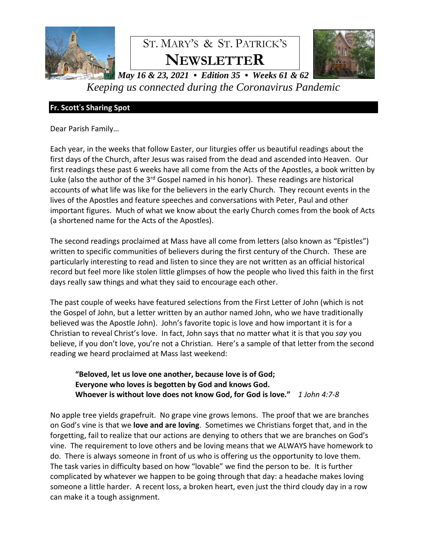

# ST. MARY'S & ST. PATRICK'S **NEWSLETTER**



*May 16 & 23, 2021 • Edition 35 • Weeks 61 & 62 Keeping us connected during the Coronavirus Pandemic*

# **Fr. Scott**'**s Sharing Spot**

Dear Parish Family…

Each year, in the weeks that follow Easter, our liturgies offer us beautiful readings about the first days of the Church, after Jesus was raised from the dead and ascended into Heaven. Our first readings these past 6 weeks have all come from the Acts of the Apostles, a book written by Luke (also the author of the  $3<sup>rd</sup>$  Gospel named in his honor). These readings are historical accounts of what life was like for the believers in the early Church. They recount events in the lives of the Apostles and feature speeches and conversations with Peter, Paul and other important figures. Much of what we know about the early Church comes from the book of Acts (a shortened name for the Acts of the Apostles).

The second readings proclaimed at Mass have all come from letters (also known as "Epistles") written to specific communities of believers during the first century of the Church. These are particularly interesting to read and listen to since they are not written as an official historical record but feel more like stolen little glimpses of how the people who lived this faith in the first days really saw things and what they said to encourage each other.

The past couple of weeks have featured selections from the First Letter of John (which is not the Gospel of John, but a letter written by an author named John, who we have traditionally believed was the Apostle John). John's favorite topic is love and how important it is for a Christian to reveal Christ's love. In fact, John says that no matter what it is that you *say* you believe, if you don't love, you're not a Christian. Here's a sample of that letter from the second reading we heard proclaimed at Mass last weekend:

**"Beloved, let us love one another, because love is of God; Everyone who loves is begotten by God and knows God. Whoever is without love does not know God, for God is love."** *1 John 4:7-8*

No apple tree yields grapefruit. No grape vine grows lemons. The proof that we are branches on God's vine is that we **love and are loving**. Sometimes we Christians forget that, and in the forgetting, fail to realize that our actions are denying to others that we are branches on God's vine. The requirement to love others and be loving means that we ALWAYS have homework to do. There is always someone in front of us who is offering us the opportunity to love them. The task varies in difficulty based on how "lovable" we find the person to be. It is further complicated by whatever we happen to be going through that day: a headache makes loving someone a little harder. A recent loss, a broken heart, even just the third cloudy day in a row can make it a tough assignment.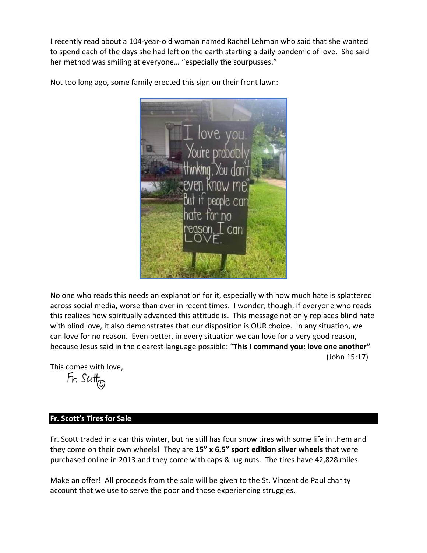I recently read about a 104-year-old woman named Rachel Lehman who said that she wanted to spend each of the days she had left on the earth starting a daily pandemic of love. She said her method was smiling at everyone... "especially the sourpusses."



Not too long ago, some family erected this sign on their front lawn:

No one who reads this needs an explanation for it, especially with how much hate is splattered across social media, worse than ever in recent times. I wonder, though, if everyone who reads this realizes how spiritually advanced this attitude is. This message not only replaces blind hate with blind love, it also demonstrates that our disposition is OUR choice. In any situation, we can love for no reason. Even better, in every situation we can love for a very good reason, because Jesus said in the clearest language possible: "**This I command you: love one another"** (John 15:17)

This comes with love,

 $Fr.$  Scotta

### **Fr. Scott's Tires for Sale**

Fr. Scott traded in a car this winter, but he still has four snow tires with some life in them and they come on their own wheels! They are **15" x 6.5" sport edition silver wheels** that were purchased online in 2013 and they come with caps & lug nuts. The tires have 42,828 miles.

Make an offer! All proceeds from the sale will be given to the St. Vincent de Paul charity account that we use to serve the poor and those experiencing struggles.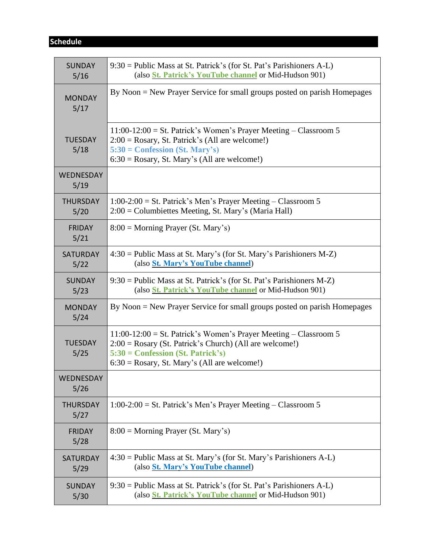# **Schedule**

| <b>SUNDAY</b><br>5/16   | 9:30 = Public Mass at St. Patrick's (for St. Pat's Parishioners A-L)<br>(also <i>St. Patrick's YouTube channel or Mid-Hudson 901)</i>                                                                                     |  |  |  |  |  |
|-------------------------|---------------------------------------------------------------------------------------------------------------------------------------------------------------------------------------------------------------------------|--|--|--|--|--|
| <b>MONDAY</b><br>5/17   | By Noon = New Prayer Service for small groups posted on parish Homepages                                                                                                                                                  |  |  |  |  |  |
| <b>TUESDAY</b><br>5/18  | $11:00-12:00 =$ St. Patrick's Women's Prayer Meeting – Classroom 5<br>$2:00 = Rosary$ , St. Patrick's (All are welcome!)<br>$5:30 =$ Confession (St. Mary's)<br>$6:30 = Rosary$ , St. Mary's (All are welcome!)           |  |  |  |  |  |
| WEDNESDAY<br>5/19       |                                                                                                                                                                                                                           |  |  |  |  |  |
| <b>THURSDAY</b><br>5/20 | $1:00-2:00 =$ St. Patrick's Men's Prayer Meeting – Classroom 5<br>2:00 = Columbiettes Meeting, St. Mary's (Maria Hall)                                                                                                    |  |  |  |  |  |
| <b>FRIDAY</b><br>5/21   | $8:00 =$ Morning Prayer (St. Mary's)                                                                                                                                                                                      |  |  |  |  |  |
| <b>SATURDAY</b><br>5/22 | $4:30 =$ Public Mass at St. Mary's (for St. Mary's Parishioners M-Z)<br>(also St. Mary's YouTube channel)                                                                                                                 |  |  |  |  |  |
| <b>SUNDAY</b><br>5/23   | $9:30 =$ Public Mass at St. Patrick's (for St. Pat's Parishioners M-Z)<br>(also <i>St. Patrick's YouTube channel</i> or Mid-Hudson 901)                                                                                   |  |  |  |  |  |
| <b>MONDAY</b><br>5/24   | By Noon = New Prayer Service for small groups posted on parish Homepages                                                                                                                                                  |  |  |  |  |  |
| <b>TUESDAY</b><br>5/25  | $11:00-12:00 =$ St. Patrick's Women's Prayer Meeting – Classroom 5<br>$2:00 = Rosary$ (St. Patrick's Church) (All are welcome!)<br>$5:30 =$ Confession (St. Patrick's)<br>$6:30 = Rosary$ , St. Mary's (All are welcome!) |  |  |  |  |  |
| WEDNESDAY<br>5/26       |                                                                                                                                                                                                                           |  |  |  |  |  |
| <b>THURSDAY</b><br>5/27 | $1:00-2:00 =$ St. Patrick's Men's Prayer Meeting – Classroom 5                                                                                                                                                            |  |  |  |  |  |
| <b>FRIDAY</b><br>5/28   | $8:00 =$ Morning Prayer (St. Mary's)                                                                                                                                                                                      |  |  |  |  |  |
| <b>SATURDAY</b><br>5/29 | $4:30 =$ Public Mass at St. Mary's (for St. Mary's Parishioners A-L)<br>(also St. Mary's YouTube channel)                                                                                                                 |  |  |  |  |  |
| <b>SUNDAY</b><br>5/30   | $9:30$ = Public Mass at St. Patrick's (for St. Pat's Parishioners A-L)<br>(also <i>St. Patrick's YouTube channel</i> or Mid-Hudson 901)                                                                                   |  |  |  |  |  |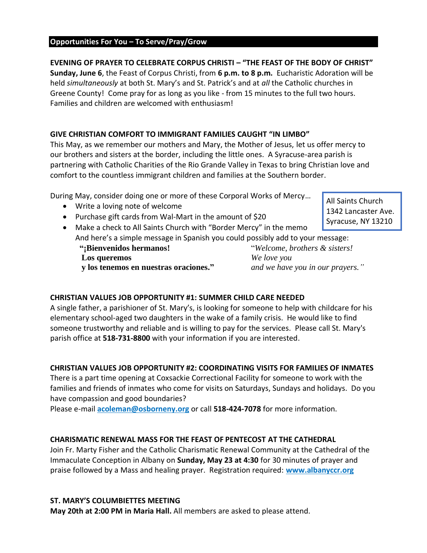# **Opportunities For You – To Serve/Pray/Grow**

# **EVENING OF PRAYER TO CELEBRATE CORPUS CHRISTI – "THE FEAST OF THE BODY OF CHRIST"**

**Sunday, June 6**, the Feast of Corpus Christi, from **6 p.m. to 8 p.m.** Eucharistic Adoration will be held *simultaneously* at both St. Mary's and St. Patrick's and at *all* the Catholic churches in Greene County! Come pray for as long as you like - from 15 minutes to the full two hours. Families and children are welcomed with enthusiasm!

# **GIVE CHRISTIAN COMFORT TO IMMIGRANT FAMILIES CAUGHT "IN LIMBO"**

This May, as we remember our mothers and Mary, the Mother of Jesus, let us offer mercy to our brothers and sisters at the border, including the little ones. A Syracuse-area parish is partnering with Catholic Charities of the Rio Grande Valley in Texas to bring Christian love and comfort to the countless immigrant children and families at the Southern border.

During May, consider doing one or more of these Corporal Works of Mercy…

- Write a loving note of welcome
- Purchase gift cards from Wal-Mart in the amount of \$20

All Saints Church 1342 Lancaster Ave. Syracuse, NY 13210

• Make a check to All Saints Church with "Border Mercy" in the memo And here's a simple message in Spanish you could possibly add to your message:

 **Los queremos** *We love you*

 **"¡Bienvenidos hermanos!** "*Welcome, brothers & sisters!*  **y los tenemos en nuestras oraciones."** *and we have you in our prayers."*

## **CHRISTIAN VALUES JOB OPPORTUNITY #1: SUMMER CHILD CARE NEEDED**

A single father, a parishioner of St. Mary's, is looking for someone to help with childcare for his elementary school-aged two daughters in the wake of a family crisis. He would like to find someone trustworthy and reliable and is willing to pay for the services. Please call St. Mary's parish office at **518-731-8800** with your information if you are interested.

### **CHRISTIAN VALUES JOB OPPORTUNITY #2: COORDINATING VISITS FOR FAMILIES OF INMATES**

There is a part time opening at Coxsackie Correctional Facility for someone to work with the families and friends of inmates who come for visits on Saturdays, Sundays and holidays. Do you have compassion and good boundaries?

Please e-mail **[acoleman@osborneny.org](mailto:acoleman@osborneny.org)** or call **518-424-7078** for more information.

### **CHARISMATIC RENEWAL MASS FOR THE FEAST OF PENTECOST AT THE CATHEDRAL**

Join Fr. Marty Fisher and the Catholic Charismatic Renewal Community at the Cathedral of the Immaculate Conception in Albany on **Sunday, May 23 at 4:30** for 30 minutes of prayer and praise followed by a Mass and healing prayer. Registration required: **[www.albanyccr.org](http://www.albanyccr.org/)**

### **ST. MARY'S COLUMBIETTES MEETING**

**May 20th at 2:00 PM in Maria Hall.** All members are asked to please attend.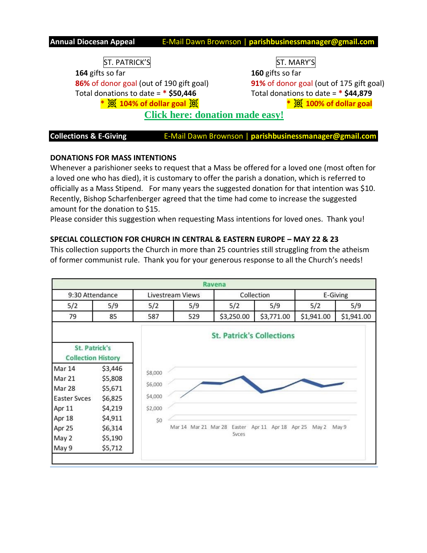**Annual Diocesan Appeal** E-Mail Dawn Brownson | **parishbusinessmanager@gmail.com**

ST. PATRICK'S ST. MARY'S **164** gifts so far **160** gifts so far **86%** of donor goal (out of 190 gift goal) **91%** of donor goal (out of 175 gift goal) Total donations to date = **\* \$50,446** Total donations to date = **\* \$44,879**

**\* 104% of dollar goal \* 100% of dollar goal**

**[Click here: donation made easy!](https://donate.thebishopsappeal.org/)**

**Collections & E-Giving <b>E-Mail Dawn Brownson** | parishbusinessmanager@gmail.com

#### **DONATIONS FOR MASS INTENTIONS**

Whenever a parishioner seeks to request that a Mass be offered for a loved one (most often for a loved one who has died), it is customary to offer the parish a donation, which is referred to officially as a Mass Stipend. For many years the suggested donation for that intention was \$10. Recently, Bishop Scharfenberger agreed that the time had come to increase the suggested amount for the donation to \$15.

Please consider this suggestion when requesting Mass intentions for loved ones. Thank you!

### **SPECIAL COLLECTION FOR CHURCH IN CENTRAL & EASTERN EUROPE – MAY 22 & 23**

This collection supports the Church in more than 25 countries still struggling from the atheism of former communist rule. Thank you for your generous response to all the Church's needs!

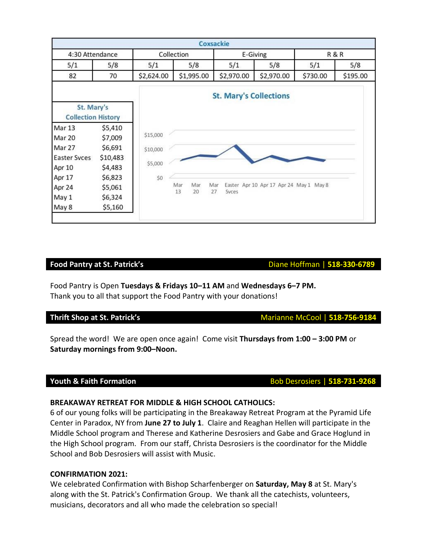|                                         |          |            |            | Coxsackie                     |                                         |          |                |  |
|-----------------------------------------|----------|------------|------------|-------------------------------|-----------------------------------------|----------|----------------|--|
| 4:30 Attendance                         |          | Collection |            |                               | E-Giving                                |          | <b>R&amp;R</b> |  |
| 5/1                                     | 5/8      | 5/1        | 5/8        | 5/1                           | 5/8                                     | 5/1      | 5/8            |  |
| 82                                      | 70       | \$2,624.00 | \$1,995.00 | \$2,970.00                    | \$2,970.00                              | \$730.00 | \$195.00       |  |
|                                         |          |            |            | <b>St. Mary's Collections</b> |                                         |          |                |  |
| St. Mary's<br><b>Collection History</b> |          |            |            |                               |                                         |          |                |  |
| Mar 13                                  | \$5,410  |            |            |                               |                                         |          |                |  |
| Mar 20                                  | \$7,009  | \$15,000   |            |                               |                                         |          |                |  |
| Mar 27                                  | \$6,691  | \$10,000   |            |                               |                                         |          |                |  |
| Easter Syces                            | \$10,483 |            |            |                               |                                         |          |                |  |
| Apr 10                                  | \$4,483  | \$5,000    |            |                               |                                         |          |                |  |
| Apr 17                                  | \$6,823  | \$0        |            |                               |                                         |          |                |  |
| Apr 24                                  | \$5,061  |            | Mar<br>Mar | Mar<br>Syces                  | Easter Apr 10 Apr 17 Apr 24 May 1 May 8 |          |                |  |
| May 1                                   | \$6,324  |            | 13<br>20   | 27                            |                                         |          |                |  |
| May 8                                   | \$5,160  |            |            |                               |                                         |          |                |  |

#### **Food Pantry at St. Patrick's Diane Hoffman | 518-330-6789**

Food Pantry is Open **Tuesdays & Fridays 10–11 AM** and **Wednesdays 6–7 PM.**  Thank you to all that support the Food Pantry with your donations!

Spread the word! We are open once again! Come visit **Thursdays from 1:00 – 3:00 PM** or **Saturday mornings from 9:00–Noon.**

#### **BREAKAWAY RETREAT FOR MIDDLE & HIGH SCHOOL CATHOLICS:**

6 of our young folks will be participating in the Breakaway Retreat Program at the Pyramid Life Center in Paradox, NY from **June 27 to July 1**. Claire and Reaghan Hellen will participate in the Middle School program and Therese and Katherine Desrosiers and Gabe and Grace Hoglund in the High School program. From our staff, Christa Desrosiers is the coordinator for the Middle School and Bob Desrosiers will assist with Music.

#### **CONFIRMATION 2021:**

We celebrated Confirmation with Bishop Scharfenberger on **Saturday, May 8** at St. Mary's along with the St. Patrick's Confirmation Group. We thank all the catechists, volunteers, musicians, decorators and all who made the celebration so special!

**Thrift Shop at St. Patrick's** Marianne McCool | 518-756-9184

**Youth & Faith Formation Bob Desrosiers | 518-731-9268**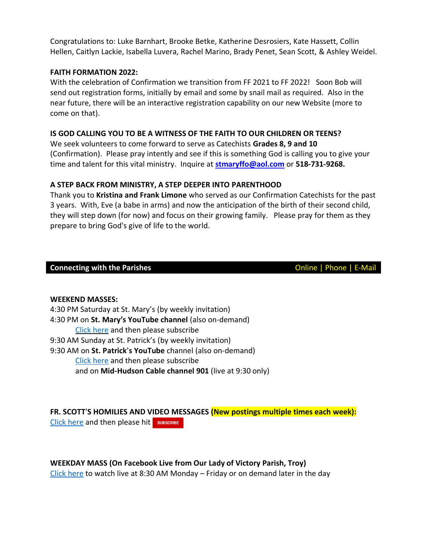Congratulations to: Luke Barnhart, Brooke Betke, Katherine Desrosiers, Kate Hassett, Collin Hellen, Caitlyn Lackie, Isabella Luvera, Rachel Marino, Brady Penet, Sean Scott, & Ashley Weidel.

#### **FAITH FORMATION 2022:**

With the celebration of Confirmation we transition from FF 2021 to FF 2022! Soon Bob will send out registration forms, initially by email and some by snail mail as required. Also in the near future, there will be an interactive registration capability on our new Website (more to come on that).

#### **IS GOD CALLING YOU TO BE A WITNESS OF THE FAITH TO OUR CHILDREN OR TEENS?**

We seek volunteers to come forward to serve as Catechists **Grades 8, 9 and 10** (Confirmation). Please pray intently and see if this is something God is calling you to give your time and talent for this vital ministry. Inquire at **[stmaryffo@aol.com](mailto:stmaryffo@aol.com)** or **518-731-9268.**

#### **A STEP BACK FROM MINISTRY, A STEP DEEPER INTO PARENTHOOD**

Thank you to **Kristina and Frank Limone** who served as our Confirmation Catechists for the past 3 years. With, Eve (a babe in arms) and now the anticipation of the birth of their second child, they will step down (for now) and focus on their growing family. Please pray for them as they prepare to bring God's give of life to the world.

#### **Connecting with the Parishes Connecting with the Parishes Connecting With the Parishes Connecting With the Parishes**

#### **WEEKEND MASSES:**

4:30 PM Saturday at St. Mary's (by weekly invitation) 4:30 PM on **St. Mary's YouTube channel** (also on-demand) Click [here](https://www.youtube.com/channel/UCfROBLJIztwzZryPen47Yig/featured) and then please subscribe 9:30 AM Sunday at St. Patrick's (by weekly invitation) 9:30 AM on **St. Patrick**'**s YouTube** channel (also on-demand) Click [here](https://www.youtube.com/channel/UCIRr4Mwue0TdsuS3HtWm4DA) and then please subscribe and on **Mid-Hudson Cable channel 901** (live at 9:30 only)

**FR. SCOTT**'**S HOMILIES AND VIDEO MESSAGES (New postings multiple times each week):** Click [here](https://www.youtube.com/channel/UCmBzEQRr6ZETPRkYtMaCxJg) and then please hit SUBSCRIBE

**WEEKDAY MASS (On Facebook Live from Our Lady of Victory Parish, Troy)** Click [here](https://www.facebook.com/olvols/) to watch live at 8:30 AM Monday – Friday or on demand later in the day